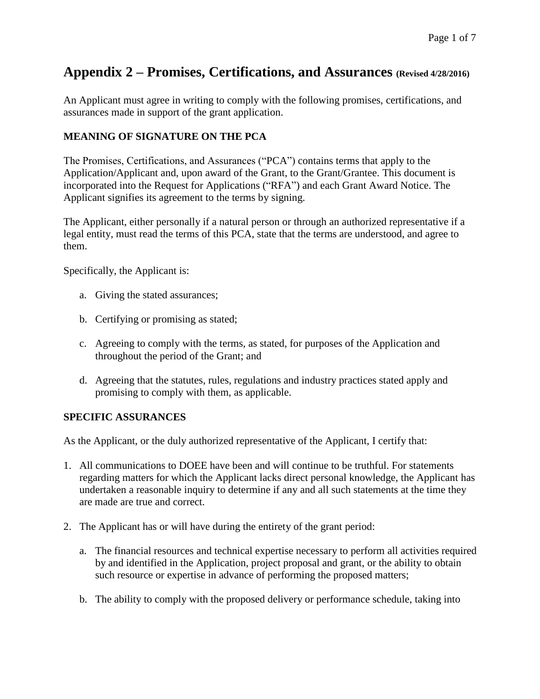## **Appendix 2 – Promises, Certifications, and Assurances (Revised 4/28/2016)**

An Applicant must agree in writing to comply with the following promises, certifications, and assurances made in support of the grant application.

## **MEANING OF SIGNATURE ON THE PCA**

The Promises, Certifications, and Assurances ("PCA") contains terms that apply to the Application/Applicant and, upon award of the Grant, to the Grant/Grantee. This document is incorporated into the Request for Applications ("RFA") and each Grant Award Notice. The Applicant signifies its agreement to the terms by signing.

The Applicant, either personally if a natural person or through an authorized representative if a legal entity, must read the terms of this PCA, state that the terms are understood, and agree to them.

Specifically, the Applicant is:

- a. Giving the stated assurances;
- b. Certifying or promising as stated;
- c. Agreeing to comply with the terms, as stated, for purposes of the Application and throughout the period of the Grant; and
- d. Agreeing that the statutes, rules, regulations and industry practices stated apply and promising to comply with them, as applicable.

## **SPECIFIC ASSURANCES**

As the Applicant, or the duly authorized representative of the Applicant, I certify that:

- 1. All communications to DOEE have been and will continue to be truthful. For statements regarding matters for which the Applicant lacks direct personal knowledge, the Applicant has undertaken a reasonable inquiry to determine if any and all such statements at the time they are made are true and correct.
- 2. The Applicant has or will have during the entirety of the grant period:
	- a. The financial resources and technical expertise necessary to perform all activities required by and identified in the Application, project proposal and grant, or the ability to obtain such resource or expertise in advance of performing the proposed matters;
	- b. The ability to comply with the proposed delivery or performance schedule, taking into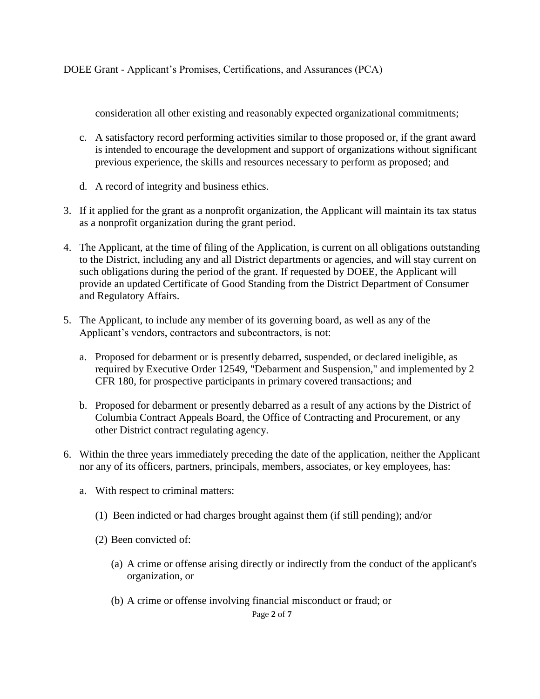consideration all other existing and reasonably expected organizational commitments;

- c. A satisfactory record performing activities similar to those proposed or, if the grant award is intended to encourage the development and support of organizations without significant previous experience, the skills and resources necessary to perform as proposed; and
- d. A record of integrity and business ethics.
- 3. If it applied for the grant as a nonprofit organization, the Applicant will maintain its tax status as a nonprofit organization during the grant period.
- 4. The Applicant, at the time of filing of the Application, is current on all obligations outstanding to the District, including any and all District departments or agencies, and will stay current on such obligations during the period of the grant. If requested by DOEE, the Applicant will provide an updated Certificate of Good Standing from the District Department of Consumer and Regulatory Affairs.
- 5. The Applicant, to include any member of its governing board, as well as any of the Applicant's vendors, contractors and subcontractors, is not:
	- a. Proposed for debarment or is presently debarred, suspended, or declared ineligible, as required by Executive Order 12549, "Debarment and Suspension," and implemented by 2 CFR 180, for prospective participants in primary covered transactions; and
	- b. Proposed for debarment or presently debarred as a result of any actions by the District of Columbia Contract Appeals Board, the Office of Contracting and Procurement, or any other District contract regulating agency.
- 6. Within the three years immediately preceding the date of the application, neither the Applicant nor any of its officers, partners, principals, members, associates, or key employees, has:
	- a. With respect to criminal matters:
		- (1) Been indicted or had charges brought against them (if still pending); and/or
		- (2) Been convicted of:
			- (a) A crime or offense arising directly or indirectly from the conduct of the applicant's organization, or
			- (b) A crime or offense involving financial misconduct or fraud; or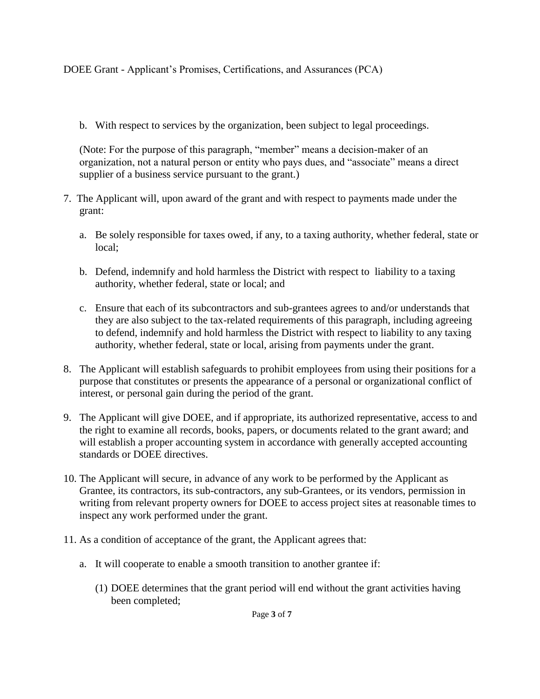b. With respect to services by the organization, been subject to legal proceedings.

(Note: For the purpose of this paragraph, "member" means a decision-maker of an organization, not a natural person or entity who pays dues, and "associate" means a direct supplier of a business service pursuant to the grant.)

- 7. The Applicant will, upon award of the grant and with respect to payments made under the grant:
	- a. Be solely responsible for taxes owed, if any, to a taxing authority, whether federal, state or local;
	- b. Defend, indemnify and hold harmless the District with respect to liability to a taxing authority, whether federal, state or local; and
	- c. Ensure that each of its subcontractors and sub-grantees agrees to and/or understands that they are also subject to the tax-related requirements of this paragraph, including agreeing to defend, indemnify and hold harmless the District with respect to liability to any taxing authority, whether federal, state or local, arising from payments under the grant.
- 8. The Applicant will establish safeguards to prohibit employees from using their positions for a purpose that constitutes or presents the appearance of a personal or organizational conflict of interest, or personal gain during the period of the grant.
- 9. The Applicant will give DOEE, and if appropriate, its authorized representative, access to and the right to examine all records, books, papers, or documents related to the grant award; and will establish a proper accounting system in accordance with generally accepted accounting standards or DOEE directives.
- 10. The Applicant will secure, in advance of any work to be performed by the Applicant as Grantee, its contractors, its sub-contractors, any sub-Grantees, or its vendors, permission in writing from relevant property owners for DOEE to access project sites at reasonable times to inspect any work performed under the grant.
- 11. As a condition of acceptance of the grant, the Applicant agrees that:
	- a. It will cooperate to enable a smooth transition to another grantee if:
		- (1) DOEE determines that the grant period will end without the grant activities having been completed;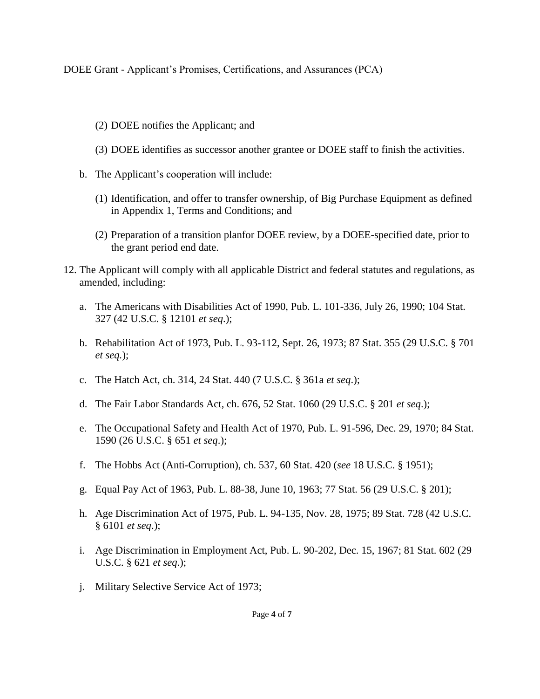- (2) DOEE notifies the Applicant; and
- (3) DOEE identifies as successor another grantee or DOEE staff to finish the activities.
- b. The Applicant's cooperation will include:
	- (1) Identification, and offer to transfer ownership, of Big Purchase Equipment as defined in Appendix 1, Terms and Conditions; and
	- (2) Preparation of a transition planfor DOEE review, by a DOEE-specified date, prior to the grant period end date.
- 12. The Applicant will comply with all applicable District and federal statutes and regulations, as amended, including:
	- a. The Americans with Disabilities Act of 1990, Pub. L. 101-336, July 26, 1990; 104 Stat. 327 (42 U.S.C. § 12101 *et seq*.);
	- b. Rehabilitation Act of 1973, Pub. L. 93-112, Sept. 26, 1973; 87 Stat. 355 (29 U.S.C. § 701 *et seq.*);
	- c. The Hatch Act, ch. 314, 24 Stat. 440 (7 U.S.C. § 361a *et seq*.);
	- d. The Fair Labor Standards Act, ch. 676, 52 Stat. 1060 (29 U.S.C. § 201 *et seq*.);
	- e. The Occupational Safety and Health Act of 1970, Pub. L. 91-596, Dec. 29, 1970; 84 Stat. 1590 (26 U.S.C. § 651 *et seq*.);
	- f. The Hobbs Act (Anti-Corruption), ch. 537, 60 Stat. 420 (*see* 18 U.S.C. § 1951);
	- g. Equal Pay Act of 1963, Pub. L. 88-38, June 10, 1963; 77 Stat. 56 (29 U.S.C. § 201);
	- h. Age Discrimination Act of 1975, Pub. L. 94-135, Nov. 28, 1975; 89 Stat. 728 (42 U.S.C. § 6101 *et seq*.);
	- i. Age Discrimination in Employment Act, Pub. L. 90-202, Dec. 15, 1967; 81 Stat. 602 (29 U.S.C. § 621 *et seq*.);
	- j. Military Selective Service Act of 1973;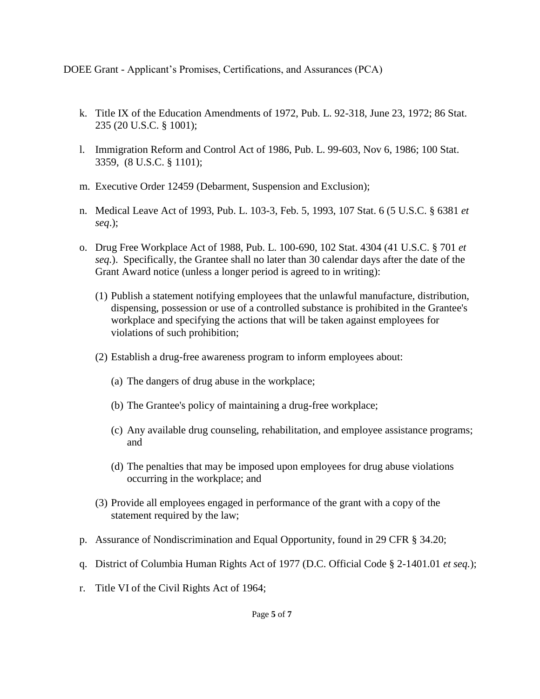- k. Title IX of the Education Amendments of 1972, Pub. L. 92-318, June 23, 1972; 86 Stat. 235 (20 U.S.C. § 1001);
- l. Immigration Reform and Control Act of 1986, Pub. L. 99-603, Nov 6, 1986; 100 Stat. 3359, (8 U.S.C. § 1101);
- m. Executive Order 12459 (Debarment, Suspension and Exclusion);
- n. Medical Leave Act of 1993, Pub. L. 103-3, Feb. 5, 1993, 107 Stat. 6 (5 U.S.C. § 6381 *et seq*.);
- o. Drug Free Workplace Act of 1988, Pub. L. 100-690, 102 Stat. 4304 (41 U.S.C. § 701 *et seq.*). Specifically, the Grantee shall no later than 30 calendar days after the date of the Grant Award notice (unless a longer period is agreed to in writing):
	- (1) Publish a statement notifying employees that the unlawful manufacture, distribution, dispensing, possession or use of a controlled substance is prohibited in the Grantee's workplace and specifying the actions that will be taken against employees for violations of such prohibition;
	- (2) Establish a drug-free awareness program to inform employees about:
		- (a) The dangers of drug abuse in the workplace;
		- (b) The Grantee's policy of maintaining a drug-free workplace;
		- (c) Any available drug counseling, rehabilitation, and employee assistance programs; and
		- (d) The penalties that may be imposed upon employees for drug abuse violations occurring in the workplace; and
	- (3) Provide all employees engaged in performance of the grant with a copy of the statement required by the law;
- p. Assurance of Nondiscrimination and Equal Opportunity, found in 29 CFR § 34.20;
- q. District of Columbia Human Rights Act of 1977 (D.C. Official Code § 2-1401.01 *et seq.*);
- r. Title VI of the Civil Rights Act of 1964;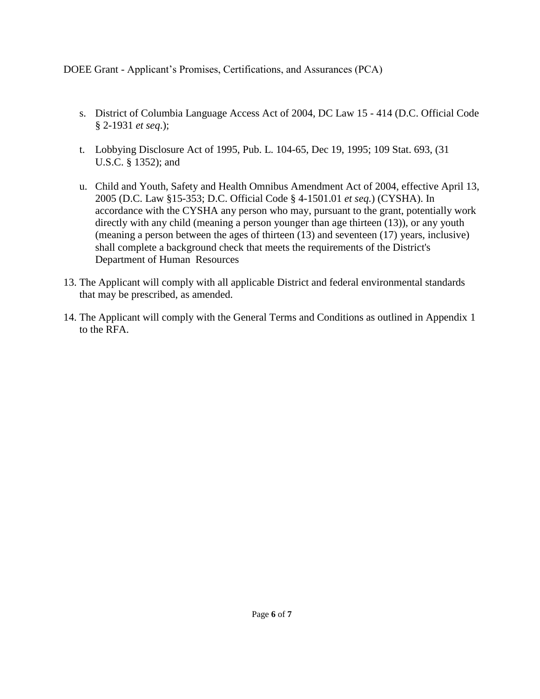- s. District of Columbia Language Access Act of 2004, DC Law 15 414 (D.C. Official Code § 2-1931 *et seq*.);
- t. Lobbying Disclosure Act of 1995, Pub. L. 104-65, Dec 19, 1995; 109 Stat. 693, (31 U.S.C. § 1352); and
- u. Child and Youth, Safety and Health Omnibus Amendment Act of 2004, effective April 13, 2005 (D.C. Law §15-353; D.C. Official Code § 4-1501.01 *et seq.*) (CYSHA). In accordance with the CYSHA any person who may, pursuant to the grant, potentially work directly with any child (meaning a person younger than age thirteen (13)), or any youth (meaning a person between the ages of thirteen (13) and seventeen (17) years, inclusive) shall complete a background check that meets the requirements of the District's Department of Human Resources
- 13. The Applicant will comply with all applicable District and federal environmental standards that may be prescribed, as amended.
- 14. The Applicant will comply with the General Terms and Conditions as outlined in Appendix 1 to the RFA.